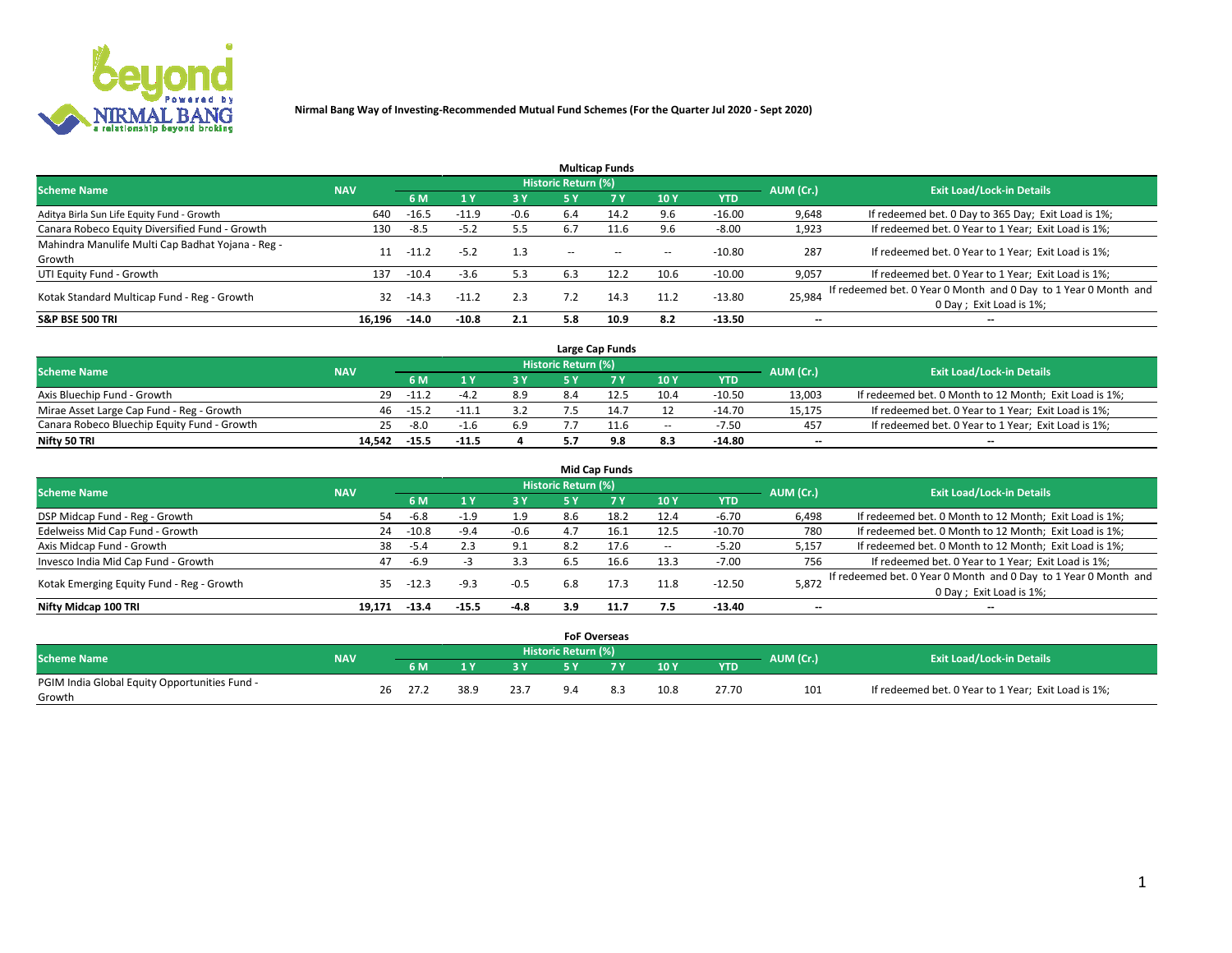

| <b>Multicap Funds</b>                             |            |         |                         |        |                          |           |            |            |           |                                                                 |  |  |  |
|---------------------------------------------------|------------|---------|-------------------------|--------|--------------------------|-----------|------------|------------|-----------|-----------------------------------------------------------------|--|--|--|
| <b>Scheme Name</b>                                | <b>NAV</b> |         |                         |        | Historic Return (%)      |           |            |            | AUM (Cr.) | <b>Exit Load/Lock-in Details</b>                                |  |  |  |
|                                                   |            | 6 M     | $\mathbf{1} \mathbf{v}$ | 3 Y    | <b>5Y</b>                | <b>7Y</b> | <b>10Y</b> | <b>YTD</b> |           |                                                                 |  |  |  |
| Aditya Birla Sun Life Equity Fund - Growth        | 640        | $-16.5$ | $-11.9$                 | $-0.6$ | 6.4                      | 14.2      | 9.6        | $-16.00$   | 9,648     | If redeemed bet. 0 Day to 365 Day; Exit Load is 1%;             |  |  |  |
| Canara Robeco Equity Diversified Fund - Growth    | 130        | $-8.5$  | $-5.2$                  | 5.5    | -6.7                     |           | 9.6        | $-8.00$    | 1,923     | If redeemed bet. 0 Year to 1 Year; Exit Load is 1%;             |  |  |  |
| Mahindra Manulife Multi Cap Badhat Yojana - Reg - | 11         | $-11.2$ | $-5.2$                  | 1.3    |                          | $\sim$    | --         | $-10.80$   | 287       | If redeemed bet. 0 Year to 1 Year; Exit Load is 1%;             |  |  |  |
| Growth                                            |            |         |                         |        | $\overline{\phantom{a}}$ |           |            |            |           |                                                                 |  |  |  |
| UTI Equity Fund - Growth                          | 137        | $-10.4$ | $-3.6$                  | 5.3    | 6.3                      | 12.2      | 10.6       | $-10.00$   | 9,057     | If redeemed bet. 0 Year to 1 Year; Exit Load is 1%;             |  |  |  |
|                                                   | 32         | $-14.3$ | $-11.2$                 | 2.3    |                          | 14.3      | 11.2       | $-13.80$   | 25,984    | If redeemed bet. 0 Year 0 Month and 0 Day to 1 Year 0 Month and |  |  |  |
| Kotak Standard Multicap Fund - Reg - Growth       |            |         |                         |        |                          |           |            |            |           | 0 Day ; Exit Load is 1%;                                        |  |  |  |
| <b>S&amp;P BSE 500 TRI</b>                        | 16.196     | $-14.0$ | $-10.8$                 | 2.1    | 5.8                      | 10.9      | 8.2        | $-13.50$   |           | --                                                              |  |  |  |

|                                             |            |         |         |     |                     | Large Cap Funds |                          |            |           |                                                        |
|---------------------------------------------|------------|---------|---------|-----|---------------------|-----------------|--------------------------|------------|-----------|--------------------------------------------------------|
| <b>Scheme Name</b>                          | <b>NAV</b> |         |         |     | Historic Return (%) |                 |                          |            |           | <b>Exit Load/Lock-in Details</b>                       |
|                                             |            | 6 M     |         |     |                     |                 | 10Y                      | <b>YTD</b> | AUM (Cr.) |                                                        |
| Axis Bluechip Fund - Growth                 | 29         | $-11.2$ |         | 8.9 |                     |                 | 10.4                     | $-10.50$   | 13,003    | If redeemed bet. 0 Month to 12 Month; Exit Load is 1%; |
| Mirae Asset Large Cap Fund - Reg - Growth   | 46         | $-15.2$ |         |     |                     | 14.7            |                          | $-14.70$   | 15,175    | If redeemed bet. 0 Year to 1 Year; Exit Load is 1%;    |
| Canara Robeco Bluechip Equity Fund - Growth | 25         | -8.0    |         | 6.9 |                     | 11.6            | $\overline{\phantom{a}}$ | $-7.50$    | 457       | If redeemed bet. 0 Year to 1 Year; Exit Load is 1%;    |
| Nifty 50 TRI                                | 14.542     | $-15.5$ | $-11.5$ |     |                     | 9.8             | 8.3                      | $-14.80$   | $-$       | $\overline{\phantom{a}}$                               |

|                                           |            |         |         |        |                            | <b>Mid Cap Funds</b> |                          |            |           |                                                                 |
|-------------------------------------------|------------|---------|---------|--------|----------------------------|----------------------|--------------------------|------------|-----------|-----------------------------------------------------------------|
| <b>Scheme Name</b>                        | <b>NAV</b> |         |         |        | <b>Historic Return (%)</b> |                      |                          |            | AUM (Cr.) | <b>Exit Load/Lock-in Details</b>                                |
|                                           |            | 6 M     |         | 3 Y    | 5 Y                        | 7 <sub>V</sub>       | 10Y                      | <b>YTD</b> |           |                                                                 |
| DSP Midcap Fund - Reg - Growth            | 54         | -6.8    | $-1.9$  | 1.9    | 8.6                        | 18.2                 | 12.4                     | $-6.70$    | 6,498     | If redeemed bet. 0 Month to 12 Month; Exit Load is 1%;          |
| Edelweiss Mid Cap Fund - Growth           | 24         | $-10.8$ | $-9.4$  | $-0.6$ | 4.7                        | 16.1                 | 12.5                     | $-10.70$   | 780       | If redeemed bet. 0 Month to 12 Month; Exit Load is 1%;          |
| Axis Midcap Fund - Growth                 | 38         | $-5.4$  | 2.3     | 9.1    | 8.2                        | 17.6                 | $\overline{\phantom{a}}$ | $-5.20$    | 5,157     | If redeemed bet. 0 Month to 12 Month; Exit Load is 1%;          |
| Invesco India Mid Cap Fund - Growth       | 47         | $-6.9$  |         | 3.3    | 6.5                        | 16.6                 | 13.3                     | $-7.00$    | 756       | If redeemed bet. 0 Year to 1 Year; Exit Load is 1%;             |
| Kotak Emerging Equity Fund - Reg - Growth | 35         | $-12.3$ | $-9.3$  | $-0.5$ | 6.8                        | 17.3                 | 11.8                     | $-12.50$   | 5,872     | If redeemed bet. 0 Year 0 Month and 0 Day to 1 Year 0 Month and |
|                                           |            |         |         |        |                            |                      |                          |            |           | 0 Day ; Exit Load is 1%;                                        |
| Nifty Midcap 100 TRI                      | 19.171     | $-13.4$ | $-15.5$ | $-4.8$ | 3.9                        | 11.7                 | 7.5                      | $-13.40$   | --        | $\overline{\phantom{a}}$                                        |

|                                               |            |                                                                      |      |      |      | <b>FoF Overseas</b> |     |      |            |     |                                                     |  |
|-----------------------------------------------|------------|----------------------------------------------------------------------|------|------|------|---------------------|-----|------|------------|-----|-----------------------------------------------------|--|
| <b>Scheme Name</b>                            | <b>NAV</b> | Historic Return (%)<br>AUM (Cr.)<br><b>Exit Load/Lock-in Details</b> |      |      |      |                     |     |      |            |     |                                                     |  |
|                                               |            |                                                                      | 6 M  |      |      | <b>EV</b>           |     | 10Y  | <b>YTD</b> |     |                                                     |  |
| PGIM India Global Equity Opportunities Fund - |            | 26                                                                   | 27.2 | 38.9 | 23.7 |                     | 8.3 | 10.8 | 27.70      | 101 | If redeemed bet. 0 Year to 1 Year; Exit Load is 1%; |  |
| Growth                                        |            |                                                                      |      |      |      |                     |     |      |            |     |                                                     |  |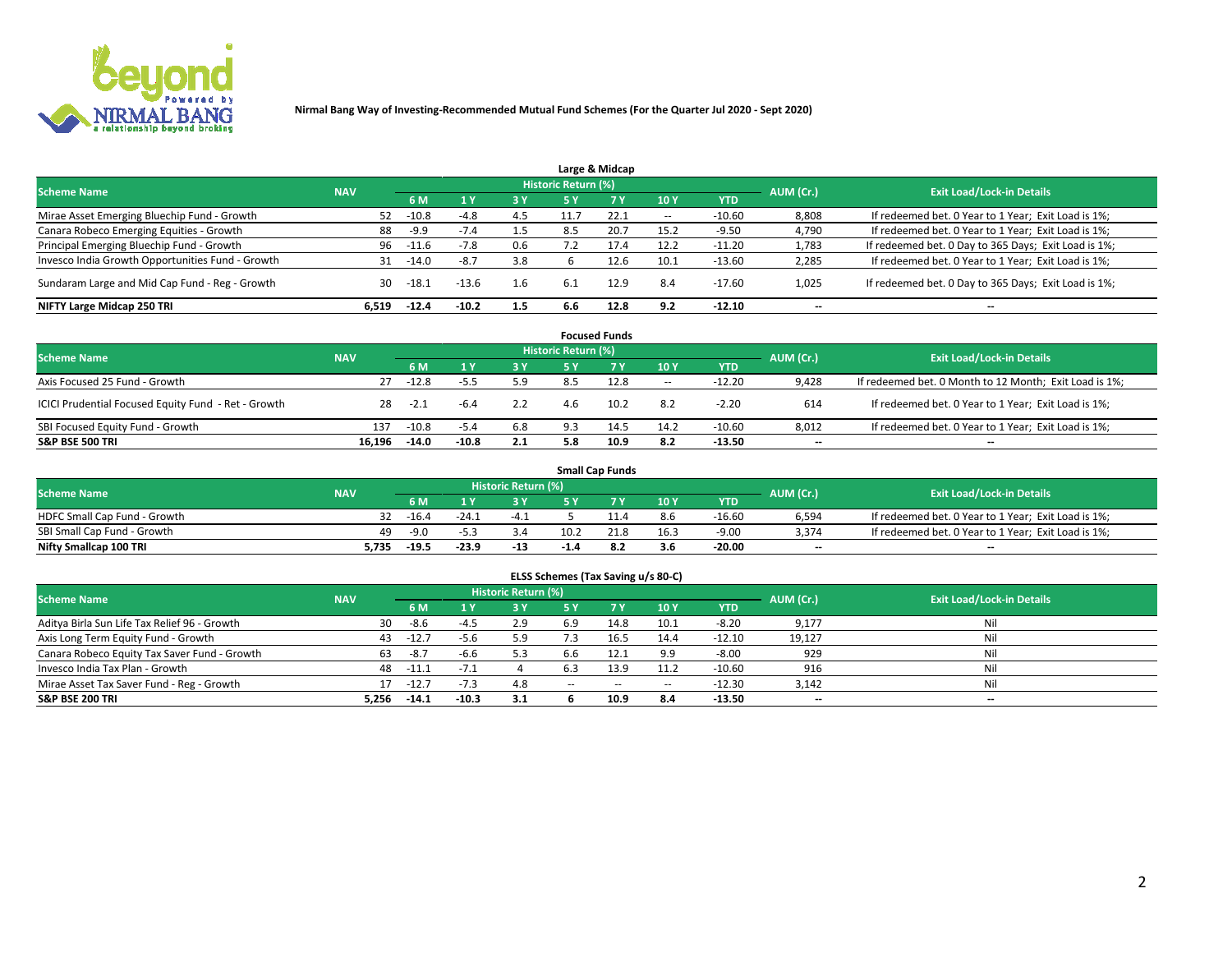

|                                                  |            |         |         |     |                            | Large & Midcap |                          |            |           |                                                      |
|--------------------------------------------------|------------|---------|---------|-----|----------------------------|----------------|--------------------------|------------|-----------|------------------------------------------------------|
| <b>Scheme Name</b>                               | <b>NAV</b> |         |         |     | <b>Historic Return (%)</b> |                |                          |            | AUM (Cr.) | <b>Exit Load/Lock-in Details</b>                     |
|                                                  |            | 6 M     |         | 3 Y | <b>5 Y</b>                 | 7Y             | 10Y                      | <b>YTD</b> |           |                                                      |
| Mirae Asset Emerging Bluechip Fund - Growth      | 52         | $-10.8$ | -4.8    | 4.5 | 11.7                       | 22.1           | $\overline{\phantom{a}}$ | $-10.60$   | 8,808     | If redeemed bet. 0 Year to 1 Year; Exit Load is 1%;  |
| Canara Robeco Emerging Equities - Growth         | 88         | $-9.9$  | $-7.4$  | 1.5 | 8.5                        | 20.7           | 15.2                     | $-9.50$    | 4,790     | If redeemed bet. 0 Year to 1 Year; Exit Load is 1%;  |
| Principal Emerging Bluechip Fund - Growth        | 96         | -11.6   | $-7.8$  | 0.6 |                            | 17.4           | 12.2                     | $-11.20$   | 1,783     | If redeemed bet. 0 Day to 365 Days; Exit Load is 1%; |
| Invesco India Growth Opportunities Fund - Growth | 31         | $-14.0$ | $-8.7$  | 3.8 |                            | 12.6           | 10.1                     | $-13.60$   | 2,285     | If redeemed bet. 0 Year to 1 Year; Exit Load is 1%;  |
| Sundaram Large and Mid Cap Fund - Reg - Growth   | 30         | -18.1   | $-13.6$ | 1.6 | -6.1                       | 12.9           | 8.4                      | $-17.60$   | 1,025     | If redeemed bet. 0 Day to 365 Days; Exit Load is 1%; |
| NIFTY Large Midcap 250 TRI                       | 6.519      | $-12.4$ | $-10.2$ | 1.5 | 6.6                        | 12.8           | 9.2                      | $-12.10$   | --        | --                                                   |

|                                                     |            |         |         |     |                     | <b>Focused Funds</b> |        |            |                          |                                                        |
|-----------------------------------------------------|------------|---------|---------|-----|---------------------|----------------------|--------|------------|--------------------------|--------------------------------------------------------|
| <b>Scheme Name</b>                                  | <b>NAV</b> |         |         |     | Historic Return (%) |                      |        |            | AUM (Cr.)                | <b>Exit Load/Lock-in Details</b>                       |
|                                                     |            | 6 M     |         | 3 Y | 5 Y                 | 7 <sub>V</sub>       | 10Y    | <b>YTD</b> |                          |                                                        |
| Axis Focused 25 Fund - Growth                       | 27         | $-12.8$ | $-5.5$  | 5.9 | 8.5                 | 12.8                 | $\sim$ | $-12.20$   | 9.428                    | If redeemed bet. 0 Month to 12 Month; Exit Load is 1%; |
| ICICI Prudential Focused Equity Fund - Ret - Growth | 28         | $-2.1$  | -6.4    | 2.2 | 4.6                 | 10.2                 | 8.2    | $-2.20$    | 614                      | If redeemed bet. 0 Year to 1 Year; Exit Load is 1%;    |
| SBI Focused Equity Fund - Growth                    | 137        | $-10.8$ | $-5.4$  | 6.8 | 9.3                 | 14.5                 | 14.2   | $-10.60$   | 8,012                    | If redeemed bet. 0 Year to 1 Year; Exit Load is 1%;    |
| <b>S&amp;P BSE 500 TRI</b>                          | 16.196     | $-14.0$ | $-10.8$ | 2.1 | 5.8                 | 10.9                 | 8.2    | $-13.50$   | $\overline{\phantom{a}}$ | $\overline{\phantom{a}}$                               |

| <b>Small Cap Funds</b>       |            |         |         |                     |           |      |      |            |           |                                                     |  |  |
|------------------------------|------------|---------|---------|---------------------|-----------|------|------|------------|-----------|-----------------------------------------------------|--|--|
| <b>Scheme Name</b>           | <b>NAV</b> |         |         | Historic Return (%) |           |      |      |            | AUM (Cr.) | <b>Exit Load/Lock-in Details</b>                    |  |  |
|                              |            | 6 M     |         |                     | <b>EV</b> |      | 10Y  | <b>YTD</b> |           |                                                     |  |  |
| HDFC Small Cap Fund - Growth | 32.        | -16.4   | $-24.1$ | $-4.1$              |           |      | 8.6  | $-16.60$   | 6,594     | If redeemed bet. 0 Year to 1 Year; Exit Load is 1%; |  |  |
| SBI Small Cap Fund - Growth  | 49         | $-9.0$  | -5.3    | 3.4                 | 10.2      | 21.8 | 16.3 | $-9.00$    | 3.374     | If redeemed bet. 0 Year to 1 Year; Exit Load is 1%; |  |  |
| Nifty Smallcap 100 TRI       | 5.735      | $-19.5$ | $-23.9$ | $-13$               | -1.4      | ے.8  | 3.6  | -20.00     | $- -$     | $- -$                                               |  |  |

| ELSS Schemes (Tax Saving u/s 80-C)           |                                  |         |         |           |                          |           |                          |            |                          |                          |  |  |  |
|----------------------------------------------|----------------------------------|---------|---------|-----------|--------------------------|-----------|--------------------------|------------|--------------------------|--------------------------|--|--|--|
| <b>Scheme Name</b>                           | <b>Exit Load/Lock-in Details</b> |         |         |           |                          |           |                          |            |                          |                          |  |  |  |
|                                              | <b>NAV</b>                       | 6 M     |         | <b>3Y</b> | <b>5Y</b>                | <b>7Y</b> | 10Y                      | <b>YTD</b> | AUM (Cr.)                |                          |  |  |  |
| Aditya Birla Sun Life Tax Relief 96 - Growth | 30                               | -8.6    | $-4.5$  | 2.9       | 6.9                      | 14.8      | 10.1                     | $-8.20$    | 9,177                    | Nil                      |  |  |  |
| Axis Long Term Equity Fund - Growth          | 43                               | $-12.7$ | $-5.6$  | 5.9       | 7.3                      | 16.5      | 14.4                     | $-12.10$   | 19,127                   | Nil                      |  |  |  |
| Canara Robeco Equity Tax Saver Fund - Growth | 63                               | -8.7    | $-6.6$  | 5.3       | 6.6                      | 12.1      | 9.9                      | $-8.00$    | 929                      | Nil                      |  |  |  |
| Invesco India Tax Plan - Growth              | 48                               | $-11.1$ |         |           | 6.3                      | 13.9      | 11.2                     | $-10.60$   | 916                      | Nil                      |  |  |  |
| Mirae Asset Tax Saver Fund - Reg - Growth    |                                  | $-12.7$ | $-7.3$  | 4.8       | $\overline{\phantom{a}}$ | $\sim$    | $\overline{\phantom{a}}$ | $-12.30$   | 3,142                    | Nil                      |  |  |  |
| <b>S&amp;P BSE 200 TRI</b>                   | 5,256                            | $-14.1$ | $-10.3$ | 3.1       |                          | 10.9      | 8.4                      | $-13.50$   | $\overline{\phantom{a}}$ | $\overline{\phantom{a}}$ |  |  |  |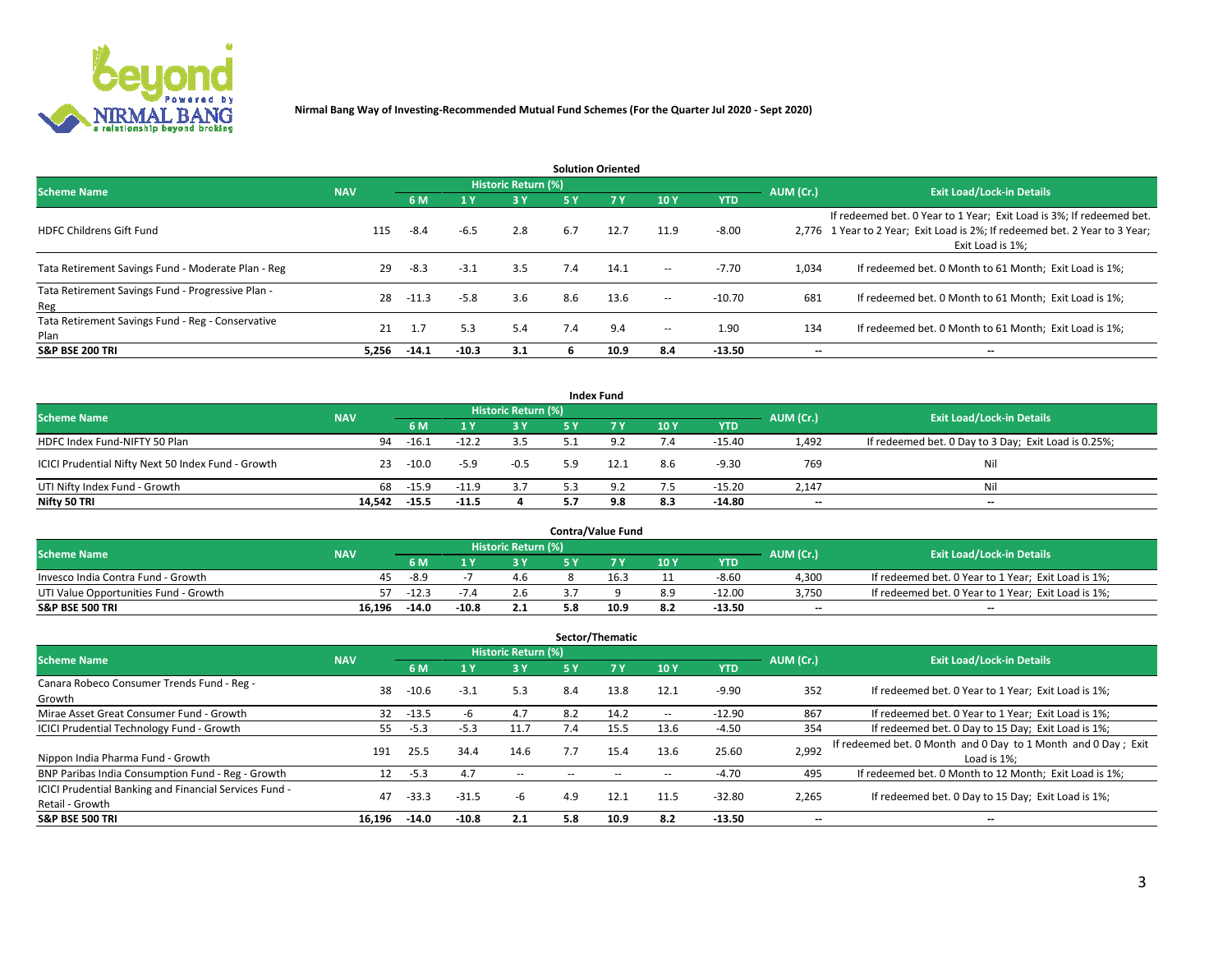

| <b>Solution Oriented</b>                                  |            |         |                |                     |     |           |                          |            |                          |                                                                                                                                                                         |  |  |  |
|-----------------------------------------------------------|------------|---------|----------------|---------------------|-----|-----------|--------------------------|------------|--------------------------|-------------------------------------------------------------------------------------------------------------------------------------------------------------------------|--|--|--|
| <b>Scheme Name</b>                                        | <b>NAV</b> |         |                | Historic Return (%) |     |           |                          |            | AUM (Cr.)                | <b>Exit Load/Lock-in Details</b>                                                                                                                                        |  |  |  |
|                                                           |            | 6 M     | 4 <sup>v</sup> | 3 Y                 | 5 Y | <b>7Y</b> | 10Y                      | <b>YTD</b> |                          |                                                                                                                                                                         |  |  |  |
| <b>HDFC Childrens Gift Fund</b>                           | 115        | $-8.4$  | $-6.5$         | 2.8                 | 6.7 | 12.7      | 11.9                     | $-8.00$    |                          | If redeemed bet. 0 Year to 1 Year; Exit Load is 3%; If redeemed bet.<br>2,776 1 Year to 2 Year; Exit Load is 2%; If redeemed bet. 2 Year to 3 Year;<br>Exit Load is 1%: |  |  |  |
| Tata Retirement Savings Fund - Moderate Plan - Reg        | 29         | $-8.3$  | $-3.1$         | 3.5                 | 7.4 | 14.1      | $\sim$                   | $-7.70$    | 1,034                    | If redeemed bet. 0 Month to 61 Month; Exit Load is 1%;                                                                                                                  |  |  |  |
| Tata Retirement Savings Fund - Progressive Plan -<br>Reg  | 28         | $-11.3$ | $-5.8$         | 3.6                 | 8.6 | 13.6      | $\sim$                   | -10.70     | 681                      | If redeemed bet. 0 Month to 61 Month; Exit Load is 1%;                                                                                                                  |  |  |  |
| Tata Retirement Savings Fund - Reg - Conservative<br>Plan | 21         | 1.7     | 5.3            | 5.4                 | 7.4 | 9.4       | $\overline{\phantom{a}}$ | 1.90       | 134                      | If redeemed bet. 0 Month to 61 Month; Exit Load is 1%;                                                                                                                  |  |  |  |
| <b>S&amp;P BSE 200 TRI</b>                                | 5.256      | $-14.1$ | $-10.3$        | 3.1                 | n   | 10.9      | 8.4                      | $-13.50$   | $\overline{\phantom{m}}$ | $\overline{\phantom{a}}$                                                                                                                                                |  |  |  |

|                                                    |            |         |         |                     |           | <b>Index Fund</b> |     |            |           |                                                      |
|----------------------------------------------------|------------|---------|---------|---------------------|-----------|-------------------|-----|------------|-----------|------------------------------------------------------|
| <b>Scheme Name</b>                                 | <b>NAV</b> |         |         | Historic Return (%) |           |                   |     |            | AUM (Cr.) | <b>Exit Load/Lock-in Details</b>                     |
|                                                    |            | 6 M     |         | 73 Y.               | <b>5Y</b> | 7 Y.              | 10Y | <b>YTD</b> |           |                                                      |
| HDFC Index Fund-NIFTY 50 Plan                      | 94         | $-16.1$ | $-12.2$ | 3.5                 |           | 9.2               | 7.4 | $-15.40$   | 1,492     | If redeemed bet. 0 Day to 3 Day; Exit Load is 0.25%; |
| ICICI Prudential Nifty Next 50 Index Fund - Growth | 23         | $-10.0$ | $-5.9$  | $-0.5$              | 5.9       | 12.1              | 8.6 | $-9.30$    | 769       | Nil                                                  |
| UTI Nifty Index Fund - Growth                      | 68         | $-15.9$ | $-11.9$ | 3.7                 | 5.3       | 9.2               | 7.5 | $-15.20$   | 2,147     | Nil                                                  |
| Nifty 50 TRI                                       | 14.542     | $-15.5$ | $-11.5$ |                     | 5.7       | 9.8               | 8.3 | -14.80     | $- -$     | $\overline{\phantom{a}}$                             |

| <b>Contra/Value Fund</b>              |            |         |         |                     |     |      |     |          |           |                                                     |  |  |  |
|---------------------------------------|------------|---------|---------|---------------------|-----|------|-----|----------|-----------|-----------------------------------------------------|--|--|--|
| <b>Scheme Name</b>                    | <b>NAV</b> |         |         | Historic Return (%) |     |      |     |          | AUM (Cr.) | <b>Exit Load/Lock-in Details</b>                    |  |  |  |
|                                       |            | 6 M     |         |                     |     |      | 10Y | YTD      |           |                                                     |  |  |  |
| Invesco India Contra Fund - Growth    | 45.        | -8.9    |         | 4.6                 |     | 16.3 | 11  | $-8.60$  | 4,300     | If redeemed bet. 0 Year to 1 Year; Exit Load is 1%; |  |  |  |
| UTI Value Opportunities Fund - Growth |            | $-12.3$ |         |                     |     |      | 8.9 | $-12.00$ | 3,750     | If redeemed bet. 0 Year to 1 Year; Exit Load is 1%; |  |  |  |
| <b>S&amp;P BSE 500 TRI</b>            | 16.196     | $-14.0$ | $-10.8$ | 2.1                 | 5.8 | 10.9 | 8.2 | $-13.50$ | $- -$     | $\overline{\phantom{a}}$                            |  |  |  |

| Sector/Thematic                                                                  |            |         |         |                            |     |      |      |            |           |                                                                              |  |  |  |
|----------------------------------------------------------------------------------|------------|---------|---------|----------------------------|-----|------|------|------------|-----------|------------------------------------------------------------------------------|--|--|--|
| <b>Scheme Name</b>                                                               | <b>NAV</b> |         |         | <b>Historic Return (%)</b> |     |      |      |            | AUM (Cr.) | <b>Exit Load/Lock-in Details</b>                                             |  |  |  |
|                                                                                  |            | 6 M     |         | 3 Y                        | 5 Y | 7 Y  | 10Y  | <b>YTD</b> |           |                                                                              |  |  |  |
| Canara Robeco Consumer Trends Fund - Reg -<br>Growth                             | 38         | $-10.6$ | $-3.1$  | 5.3                        | 8.4 | 13.8 | 12.1 | $-9.90$    | 352       | If redeemed bet. 0 Year to 1 Year; Exit Load is 1%;                          |  |  |  |
| Mirae Asset Great Consumer Fund - Growth                                         | 32         | $-13.5$ |         | 4.7                        | 8.2 | 14.2 | $-$  | $-12.90$   | 867       | If redeemed bet. 0 Year to 1 Year; Exit Load is 1%;                          |  |  |  |
| ICICI Prudential Technology Fund - Growth                                        | 55         | $-5.3$  | $-5.3$  | 11.7                       | 7.4 | 15.5 | 13.6 | $-4.50$    | 354       | If redeemed bet. 0 Day to 15 Day; Exit Load is 1%;                           |  |  |  |
| Nippon India Pharma Fund - Growth                                                | 191        | 25.5    | 34.4    | 14.6                       | 7.7 | 15.4 | 13.6 | 25.60      | 2,992     | If redeemed bet. 0 Month and 0 Day to 1 Month and 0 Day; Exit<br>Load is 1%: |  |  |  |
| BNP Paribas India Consumption Fund - Reg - Growth                                | 12         | $-5.3$  | 4.7     | $\overline{\phantom{a}}$   |     |      | --   | $-4.70$    | 495       | If redeemed bet. 0 Month to 12 Month; Exit Load is 1%;                       |  |  |  |
| <b>ICICI Prudential Banking and Financial Services Fund -</b><br>Retail - Growth | 47         | $-33.3$ | $-31.5$ | -b                         | 4.9 | 12.1 | 11.5 | $-32.80$   | 2,265     | If redeemed bet. 0 Day to 15 Day; Exit Load is 1%;                           |  |  |  |
| <b>S&amp;P BSE 500 TRI</b>                                                       | 16,196     | $-14.0$ | $-10.8$ | 2.1                        | 5.8 | 10.9 | 8.2  | $-13.50$   | --        | --                                                                           |  |  |  |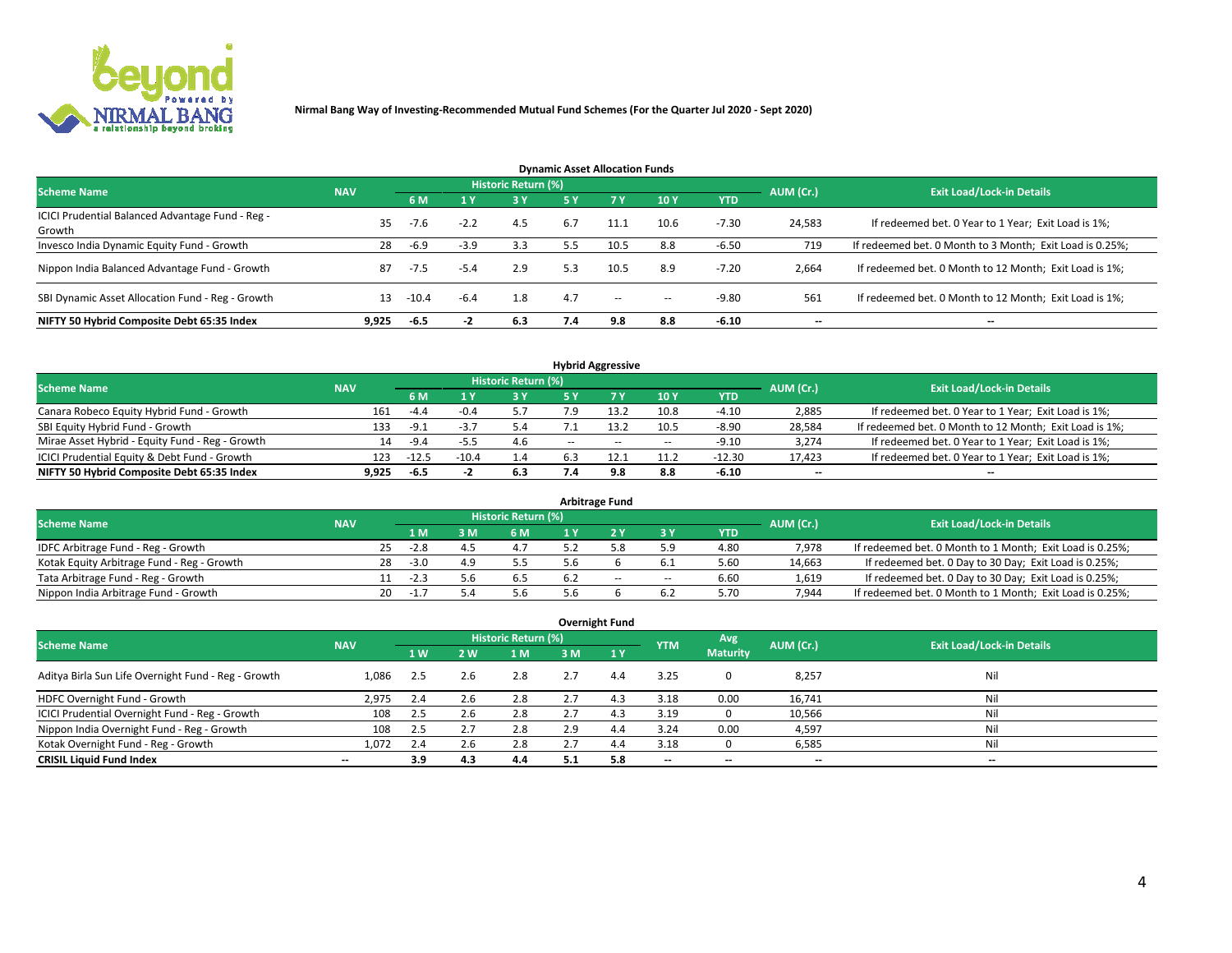

| <b>Dynamic Asset Allocation Funds</b>            |            |         |        |                     |     |           |                          |            |           |                                                          |  |  |  |
|--------------------------------------------------|------------|---------|--------|---------------------|-----|-----------|--------------------------|------------|-----------|----------------------------------------------------------|--|--|--|
| <b>Scheme Name</b>                               | <b>NAV</b> |         |        | Historic Return (%) |     |           |                          |            |           | <b>Exit Load/Lock-in Details</b>                         |  |  |  |
|                                                  |            | 6 M     |        | 3 Y                 | 5 Y | <b>7Y</b> | 10Y                      | <b>YTD</b> | AUM (Cr.) |                                                          |  |  |  |
| ICICI Prudential Balanced Advantage Fund - Reg - | 35         | $-7.6$  | $-2.2$ | 4.5                 | 6.7 | 11.1      | 10.6                     | $-7.30$    | 24,583    | If redeemed bet. 0 Year to 1 Year; Exit Load is 1%;      |  |  |  |
| Growth                                           |            |         |        |                     |     |           |                          |            |           |                                                          |  |  |  |
| Invesco India Dynamic Equity Fund - Growth       | 28         | -6.9    | $-3.9$ | 3.3                 | 5.5 | 10.5      | 8.8                      | $-6.50$    | 719       | If redeemed bet. 0 Month to 3 Month; Exit Load is 0.25%; |  |  |  |
| Nippon India Balanced Advantage Fund - Growth    | 87         | $-7.5$  | $-5.4$ | 2.9                 | 5.3 | 10.5      | 8.9                      | $-7.20$    | 2,664     | If redeemed bet. 0 Month to 12 Month; Exit Load is 1%;   |  |  |  |
| SBI Dynamic Asset Allocation Fund - Reg - Growth | 13         | $-10.4$ | $-6.4$ | 1.8                 | 4.7 | $\sim$    | $\overline{\phantom{a}}$ | $-9.80$    | 561       | If redeemed bet. 0 Month to 12 Month; Exit Load is 1%;   |  |  |  |
| NIFTY 50 Hybrid Composite Debt 65:35 Index       | 9,925      | -6.5    | - 2    | 6.3                 | 7.4 | 9.8       | 8.8                      | $-6.10$    |           | --                                                       |  |  |  |

| <b>Hybrid Aggressive</b>                        |            |         |         |                     |       |      |                          |            |           |                                                        |  |  |  |  |
|-------------------------------------------------|------------|---------|---------|---------------------|-------|------|--------------------------|------------|-----------|--------------------------------------------------------|--|--|--|--|
| <b>Scheme Name</b>                              | <b>NAV</b> |         |         | Historic Return (%) |       |      |                          |            | AUM (Cr.) | <b>Exit Load/Lock-in Details</b>                       |  |  |  |  |
|                                                 |            | 6 M     |         | 3 Y                 | 5 ۷   |      | 10Y                      | <b>YTD</b> |           |                                                        |  |  |  |  |
| Canara Robeco Equity Hybrid Fund - Growth       | 161        | -4.4    | $-0.4$  | 5.7                 |       |      | 10.8                     | -4.10      | 2,885     | If redeemed bet. 0 Year to 1 Year; Exit Load is 1%;    |  |  |  |  |
| SBI Equity Hybrid Fund - Growth                 | 133        | $-9.1$  | -5.7    | 5.4                 |       | 13.2 | 10.5                     | $-8.90$    | 28,584    | If redeemed bet. 0 Month to 12 Month; Exit Load is 1%; |  |  |  |  |
| Mirae Asset Hybrid - Equity Fund - Reg - Growth | 14         | $-9.4$  | -5.5    | 4.6                 | $- -$ | $-$  | $\overline{\phantom{a}}$ | $-9.10$    | 3,274     | If redeemed bet. 0 Year to 1 Year; Exit Load is 1%;    |  |  |  |  |
| ICICI Prudential Equity & Debt Fund - Growth    | 123        | $-12.5$ | $-10.4$ | 1.4                 | 6.3   | 12.1 | 11.2                     | $-12.30$   | 17,423    | If redeemed bet. 0 Year to 1 Year; Exit Load is 1%;    |  |  |  |  |
| NIFTY 50 Hybrid Composite Debt 65:35 Index      | 9.925      | -6.5    |         | 6.3                 | 7.4   | 9.8  | 8.8                      | -6.10      | $- -$     | $-$                                                    |  |  |  |  |

| <b>Arbitrage Fund</b>                      |            |    |        |     |                            |     |     |                          |            |           |                                                          |  |  |
|--------------------------------------------|------------|----|--------|-----|----------------------------|-----|-----|--------------------------|------------|-----------|----------------------------------------------------------|--|--|
| <b>Scheme Name</b>                         | <b>NAV</b> |    |        |     | <b>Historic Return (%)</b> |     |     |                          |            | AUM (Cr.) | <b>Exit Load/Lock-in Details</b>                         |  |  |
|                                            |            |    | 1 M    | 3 M | 6 M                        |     |     | <b>3Y</b>                | <b>YTD</b> |           |                                                          |  |  |
| IDFC Arbitrage Fund - Reg - Growth         |            | 25 | $-2.8$ |     |                            |     |     | 5.9                      | 4.80       | 7.978     | If redeemed bet. 0 Month to 1 Month; Exit Load is 0.25%; |  |  |
| Kotak Equity Arbitrage Fund - Reg - Growth |            | 28 | $-3.0$ |     | 5.5                        |     |     |                          | 5.60       | 14,663    | If redeemed bet. 0 Day to 30 Day; Exit Load is 0.25%;    |  |  |
| Tata Arbitrage Fund - Reg - Growth         |            |    | $-2.3$ |     | 6.5                        | 6.2 | $-$ | $\overline{\phantom{a}}$ | 6.60       | 1,619     | If redeemed bet. 0 Day to 30 Day; Exit Load is 0.25%;    |  |  |
| Nippon India Arbitrage Fund - Growth       |            | 20 | -1.,   |     | 5.6                        |     |     | 6.2                      | 5.70       | 7.944     | If redeemed bet. 0 Month to 1 Month; Exit Load is 0.25%; |  |  |

|                                                     | <b>NAV</b>               |                |            | <b>Historic Return (%)</b> |     |              |            | Avg                      | AUM (Cr.)                |                                  |
|-----------------------------------------------------|--------------------------|----------------|------------|----------------------------|-----|--------------|------------|--------------------------|--------------------------|----------------------------------|
| <b>Scheme Name</b>                                  |                          | 1 <sub>W</sub> | <b>2 W</b> | 1 M                        | 3 M | $\sqrt{1}$ Y | <b>YTM</b> | <b>Maturity</b>          |                          | <b>Exit Load/Lock-in Details</b> |
| Aditya Birla Sun Life Overnight Fund - Reg - Growth | 1,086                    | 2.5            | 2.6        | 2.8                        | 2.7 | 4.4          | 3.25       |                          | 8,257                    | Nil                              |
| HDFC Overnight Fund - Growth                        | 2,975                    | 2.4            | 2.6        | 2.8                        | 2.7 | 4.3          | 3.18       | 0.00                     | 16,741                   | Nil                              |
| ICICI Prudential Overnight Fund - Reg - Growth      | 108                      | 2.5            | 2.6        | 2.8                        | 2.7 | 4.3          | 3.19       |                          | 10,566                   | Nil                              |
| Nippon India Overnight Fund - Reg - Growth          | 108                      | 2.5            | 2.7        | 2.8                        | 2.9 | 4.4          | 3.24       | 0.00                     | 4,597                    | Nil                              |
| Kotak Overnight Fund - Reg - Growth                 | 1,072                    | 2.4            | 2.6        | 2.8                        |     | 4.4          | 3.18       |                          | 6,585                    | Nil                              |
| <b>CRISIL Liquid Fund Index</b>                     | $\overline{\phantom{a}}$ | 3.9            | 4.3        | 4.4                        | 5.1 | 5.8          | --         | $\overline{\phantom{a}}$ | $\overline{\phantom{a}}$ | $-$                              |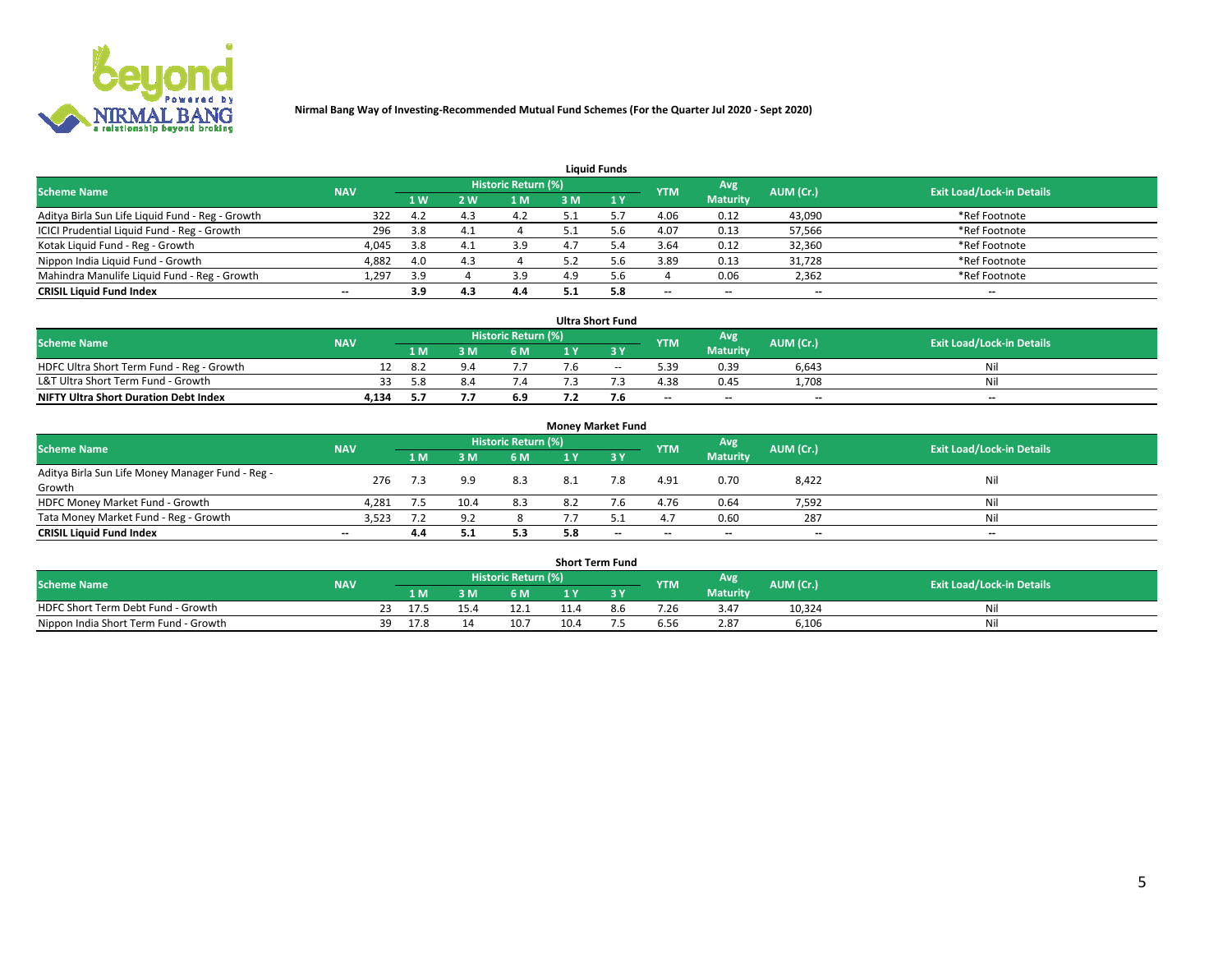

| <b>Liquid Funds</b>                              |                          |      |     |                     |     |     |            |                 |           |                                  |  |  |  |
|--------------------------------------------------|--------------------------|------|-----|---------------------|-----|-----|------------|-----------------|-----------|----------------------------------|--|--|--|
| <b>Scheme Name</b>                               | <b>NAV</b>               |      |     | Historic Return (%) |     |     | <b>YTM</b> | Avg             | AUM (Cr.) | <b>Exit Load/Lock-in Details</b> |  |  |  |
|                                                  |                          | '1 W | 2 W | 1 M                 | 3 M |     |            | <b>Maturity</b> |           |                                  |  |  |  |
| Aditya Birla Sun Life Liquid Fund - Reg - Growth | 322                      | -4.2 | 4.3 | 4.2                 |     |     | 4.06       | 0.12            | 43,090    | *Ref Footnote                    |  |  |  |
| ICICI Prudential Liquid Fund - Reg - Growth      | 296                      | 3.8  | 4.1 |                     | 5.1 |     | 4.07       | 0.13            | 57,566    | *Ref Footnote                    |  |  |  |
| Kotak Liquid Fund - Reg - Growth                 | 4,045                    | 3.8  |     | 3.9                 |     |     | 3.64       | 0.12            | 32,360    | *Ref Footnote                    |  |  |  |
| Nippon India Liquid Fund - Growth                | 4,882                    | 4.0  |     |                     |     |     | 3.89       | 0.13            | 31,728    | *Ref Footnote                    |  |  |  |
| Mahindra Manulife Liquid Fund - Reg - Growth     | 1,297                    | 3.9  |     | 3.9                 | 4.9 |     |            | 0.06            | 2,362     | *Ref Footnote                    |  |  |  |
| <b>CRISIL Liquid Fund Index</b>                  | $\overline{\phantom{a}}$ | 3.9  | 4.3 | 4.4                 | 5.1 | 5.8 | $-$        | $- -$           | $- -$     | $\overline{\phantom{a}}$         |  |  |  |

| <b>Ultra Short Fund</b>                      |            |            |     |                     |     |     |            |                 |                          |                                  |  |  |  |
|----------------------------------------------|------------|------------|-----|---------------------|-----|-----|------------|-----------------|--------------------------|----------------------------------|--|--|--|
| <b>Scheme Name</b>                           | <b>NAV</b> |            |     | Historic Return (%) |     |     | <b>YTM</b> | Avg             | AUM (Cr.)                | <b>Exit Load/Lock-in Details</b> |  |  |  |
|                                              |            | 1 M        | 3 M | 6 M                 | 1 V |     |            | <b>Maturity</b> |                          |                                  |  |  |  |
| HDFC Ultra Short Term Fund - Reg - Growth    |            | <b>8</b> 2 |     |                     |     | $-$ | 5.39       | 0.39            | 6.643                    | Nil                              |  |  |  |
| L&T Ultra Short Term Fund - Growth           |            | 5.8        | 8.4 | 7.4                 |     |     | 4.38       | 0.45            | 1.708                    | Nil                              |  |  |  |
| <b>NIFTY Ultra Short Duration Debt Index</b> | 4,134      |            | ,,, | 6.9                 |     |     | $- -$      | $-$             | $\overline{\phantom{a}}$ | $-$                              |  |  |  |

| <b>Money Market Fund</b>                         |                          |     |      |                       |     |       |                          |                          |                          |                                  |  |  |  |  |
|--------------------------------------------------|--------------------------|-----|------|-----------------------|-----|-------|--------------------------|--------------------------|--------------------------|----------------------------------|--|--|--|--|
| <b>Scheme Name</b>                               | <b>NAV</b>               |     |      | Historic Return (%) ' |     |       | <b>YTM</b>               | Avg                      | AUM (Cr.)                | <b>Exit Load/Lock-in Details</b> |  |  |  |  |
|                                                  |                          | 1 M | 3 M  | <b>6 M</b>            | 1 Y | $-3V$ |                          | <b>Maturity</b>          |                          |                                  |  |  |  |  |
| Aditya Birla Sun Life Money Manager Fund - Reg - | 276                      | 7.3 | 9.9  | 8.3                   |     | 7.8   | 4.91                     | 0.70                     |                          | Nil                              |  |  |  |  |
| Growth                                           |                          |     |      |                       | 8.1 |       |                          |                          | 8,422                    |                                  |  |  |  |  |
| HDFC Money Market Fund - Growth                  | 4,281                    | 7.5 | 10.4 | 8.3                   | 8.2 | 7.6   | 4.76                     | 0.64                     | 7,592                    | Nil                              |  |  |  |  |
| Tata Money Market Fund - Reg - Growth            | 3,523                    |     | 9.2  |                       |     |       | 4.7                      | 0.60                     | 287                      | Nil                              |  |  |  |  |
| <b>CRISIL Liquid Fund Index</b>                  | $\overline{\phantom{a}}$ | 4.4 |      | 5.3                   | 5.8 | $-$   | $\overline{\phantom{a}}$ | $\overline{\phantom{a}}$ | $\overline{\phantom{m}}$ | $-$                              |  |  |  |  |

| <b>Short Term Fund</b>                |            |    |                |  |                     |      |  |            |                 |           |                                  |  |  |  |
|---------------------------------------|------------|----|----------------|--|---------------------|------|--|------------|-----------------|-----------|----------------------------------|--|--|--|
| <b>Scheme Name</b>                    | <b>NAV</b> |    |                |  | Historic Return (%) |      |  | <b>YTM</b> | Avg             | AUM (Cr.) | <b>Exit Load/Lock-in Details</b> |  |  |  |
|                                       |            |    | 1 M .          |  | 6 M                 |      |  |            | <b>Maturity</b> |           |                                  |  |  |  |
| HDFC Short Term Debt Fund - Growth    |            | رے | $\overline{7}$ |  | 12.1                |      |  | 7.26       | 3.47            | 10.324    | Nil                              |  |  |  |
| Nippon India Short Term Fund - Growth |            |    | 17.8           |  | 10.7                | 10.4 |  | 6.56       | 2.87            | 6,106     | Nil                              |  |  |  |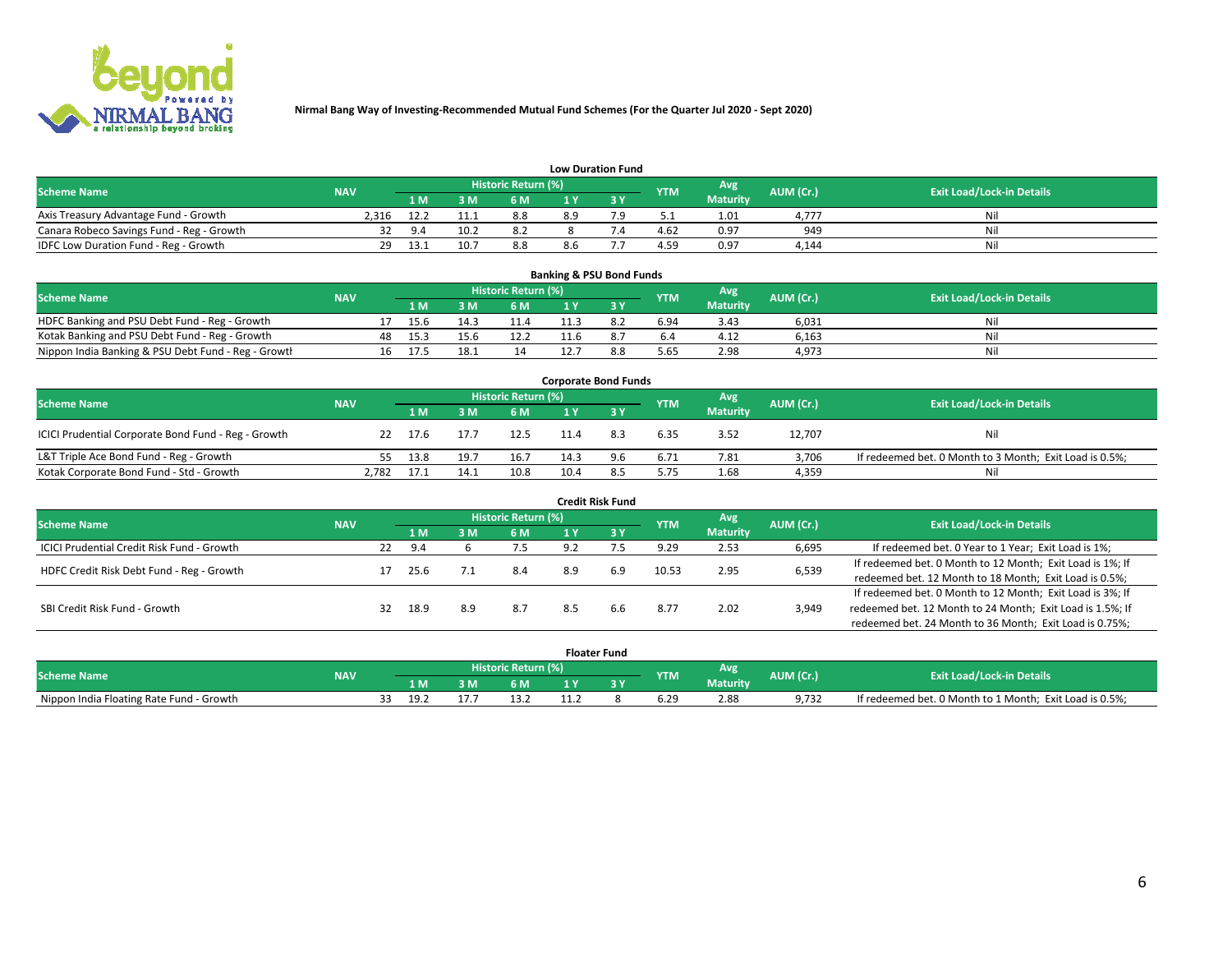

| <b>Low Duration Fund</b>                                                                                                             |       |      |     |     |    |    |      |                 |       |     |  |  |  |  |
|--------------------------------------------------------------------------------------------------------------------------------------|-------|------|-----|-----|----|----|------|-----------------|-------|-----|--|--|--|--|
| <b>Historic Return (%)</b><br>Avg<br><b>Exit Load/Lock-in Details</b><br><b>Scheme Name</b><br>AUM (Cr.)<br><b>NAV</b><br><b>YTM</b> |       |      |     |     |    |    |      |                 |       |     |  |  |  |  |
|                                                                                                                                      |       | 1 M  | 3 M | 6 M |    |    |      | <b>Maturity</b> |       |     |  |  |  |  |
| Axis Treasury Advantage Fund - Growth                                                                                                | 2.316 | 12.2 |     | 8.8 | 89 | 70 |      | 1.01            | 4.777 | Nil |  |  |  |  |
| Canara Robeco Savings Fund - Reg - Growth                                                                                            |       | 9.4  | 10  |     |    |    | 4.62 | 0.97            | 949   | Nil |  |  |  |  |
| IDFC Low Duration Fund - Reg - Growth                                                                                                | 29    | 13.1 | 10. | 8.8 |    |    | 4.59 | 0.97            | 4.144 | Nil |  |  |  |  |

| <b>Banking &amp; PSU Bond Funds</b>                 |            |    |      |      |                     |      |     |            |                 |           |                                  |  |  |  |
|-----------------------------------------------------|------------|----|------|------|---------------------|------|-----|------------|-----------------|-----------|----------------------------------|--|--|--|
| Scheme Name                                         | <b>NAV</b> |    |      |      | Historic Return (%) |      |     | <b>YTM</b> | Avg             | AUM (Cr.) | <b>Exit Load/Lock-in Details</b> |  |  |  |
|                                                     |            |    | 1 M  |      | 6 M                 |      |     |            | <b>Maturity</b> |           |                                  |  |  |  |
| HDFC Banking and PSU Debt Fund - Reg - Growth       |            |    | 15.6 | 14.3 | 11.4                |      |     | 6.94       | 3.43            | 6,031     | Nil                              |  |  |  |
| Kotak Banking and PSU Debt Fund - Reg - Growth      |            | 48 | 15.3 | 15.6 | 12.2                | 11.6 |     | 6.4        | 4.12            | 6,163     | Nil                              |  |  |  |
| Nippon India Banking & PSU Debt Fund - Reg - Growth |            | 16 | 17.5 | 18.  | 14                  |      | 8.8 | 5.65       | 2.98            | 4,973     | Nil                              |  |  |  |

| <b>Corporate Bond Funds</b>                         |            |      |          |                            |      |     |            |                 |           |                                                         |  |  |  |
|-----------------------------------------------------|------------|------|----------|----------------------------|------|-----|------------|-----------------|-----------|---------------------------------------------------------|--|--|--|
| <b>Scheme Name</b>                                  | <b>NAV</b> |      |          | <b>Historic Return (%)</b> |      |     | <b>YTM</b> | Avg             | AUM (Cr.) | <b>Exit Load/Lock-in Details</b>                        |  |  |  |
|                                                     |            | 1 M  | <b>M</b> | 6 M                        |      |     |            | <b>Maturity</b> |           |                                                         |  |  |  |
| ICICI Prudential Corporate Bond Fund - Reg - Growth | 22         | 17.6 | 17.7     | 12.5                       | 11.4 | 8.3 | 6.35       | 3.52            | 12,707    | Nil                                                     |  |  |  |
| L&T Triple Ace Bond Fund - Reg - Growth             | 55         | 13.8 | 19.      | 16.7                       | 14.3 | 9.6 | 6.71       | 7.81            | 3,706     | If redeemed bet. 0 Month to 3 Month; Exit Load is 0.5%; |  |  |  |
| Kotak Corporate Bond Fund - Std - Growth            | 2.782      | 17.1 | 14.1     | 10.8                       | 10.4 | 8.5 | 5.75       | 1.68            | 4,359     | Nil                                                     |  |  |  |

| <b>Credit Risk Fund</b>                           |            |    |      |     |                            |     |                       |            |                 |           |                                                           |  |
|---------------------------------------------------|------------|----|------|-----|----------------------------|-----|-----------------------|------------|-----------------|-----------|-----------------------------------------------------------|--|
| <b>Scheme Name</b>                                | <b>NAV</b> |    |      |     | <b>Historic Return (%)</b> |     |                       | <b>YTM</b> | Avg             | AUM (Cr.) | <b>Exit Load/Lock-in Details</b>                          |  |
|                                                   |            |    | 1 M  | M   | 6 M                        |     | $\sqrt{3}$ $\sqrt{2}$ |            | <b>Maturity</b> |           |                                                           |  |
| <b>ICICI Prudential Credit Risk Fund - Growth</b> |            | 22 | 9.4  |     | 7.5                        | 9.2 |                       | 9.29       | 2.53            | 6,695     | If redeemed bet. 0 Year to 1 Year; Exit Load is 1%;       |  |
| HDFC Credit Risk Debt Fund - Reg - Growth         |            |    |      |     | 8.4                        | 8.9 | 6.9                   | 10.53      | 2.95            | 6,539     | If redeemed bet. 0 Month to 12 Month; Exit Load is 1%; If |  |
|                                                   |            |    | 25.6 |     |                            |     |                       |            |                 |           | redeemed bet. 12 Month to 18 Month; Exit Load is 0.5%;    |  |
|                                                   |            |    |      |     |                            |     |                       |            |                 |           | If redeemed bet. 0 Month to 12 Month; Exit Load is 3%; If |  |
| SBI Credit Risk Fund - Growth                     |            |    | 18.9 | 8.9 | 8.7                        | 8.5 | 6.6                   | 8.77       | 2.02            | 3,949     | redeemed bet. 12 Month to 24 Month; Exit Load is 1.5%; If |  |
|                                                   |            |    |      |     |                            |     |                       |            |                 |           | redeemed bet. 24 Month to 36 Month; Exit Load is 0.75%;   |  |

| <b>Floater Fund</b>                      |            |  |      |   |                     |  |  |            |                 |                  |                                                         |  |
|------------------------------------------|------------|--|------|---|---------------------|--|--|------------|-----------------|------------------|---------------------------------------------------------|--|
| <b>Scheme Name</b>                       | <b>NAV</b> |  |      |   | Historic Return (%) |  |  | <b>YTM</b> | Avg             | <b>AUM (Cr.)</b> | <b>Exit Load/Lock-in Details</b>                        |  |
|                                          |            |  | 1 M  | M | 6 M                 |  |  |            | <b>Maturity</b> |                  |                                                         |  |
| Nippon India Floating Rate Fund - Growth |            |  | 19.2 |   |                     |  |  | 6.29       | 2.88            | 9.732            | If redeemed bet. 0 Month to 1 Month; Exit Load is 0.5%; |  |